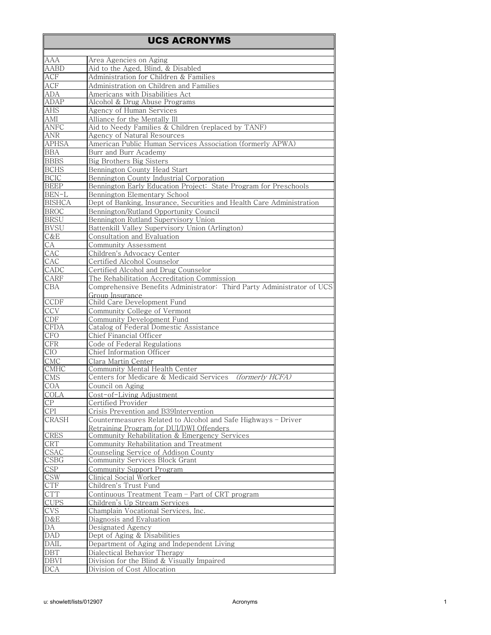## UCS ACRONYMS

| AAA                | Area Agencies on Aging                                                 |
|--------------------|------------------------------------------------------------------------|
| <b>AABD</b>        | Aid to the Aged, Blind, & Disabled                                     |
| ACF                | Administration for Children & Families                                 |
|                    |                                                                        |
| ACF                | Administration on Children and Families                                |
| ADA                | Americans with Disabilities Act                                        |
| <b>ADAP</b>        | Alcohol & Drug Abuse Programs                                          |
| AHS                | Agency of Human Services                                               |
| AMI                | Alliance for the Mentally Ill                                          |
| ANFC               | Aid to Needy Families & Children (replaced by TANF)                    |
| <b>ANR</b>         | Agency of Natural Resources                                            |
| <b>APHSA</b>       | American Public Human Services Association (formerly APWA)             |
| BBA                | Burr and Burr Academy                                                  |
| <b>BBBS</b>        | Big Brothers Big Sisters                                               |
| <b>BCHS</b>        | Bennington County Head Start                                           |
|                    |                                                                        |
| <b>BCIC</b>        | Bennington County Industrial Corporation                               |
| <b>BEEP</b>        | Bennington Early Education Project: State Program for Preschools       |
| BEN-L              | Bennington Elementary School                                           |
| <b>BISHCA</b>      | Dept of Banking, Insurance, Securities and Health Care Administration  |
| <b>BROC</b>        | Bennington/Rutland Opportunity Council                                 |
| <b>BRSU</b>        | Bennington Rutland Supervisory Union                                   |
| <b>BVSU</b>        | Battenkill Valley Supervisory Union (Arlington)                        |
| C&E                | Consultation and Evaluation                                            |
| CA                 | Community Assessment                                                   |
| CAC                | Children's Advocacy Center                                             |
| CAC                | Certified Alcohol Counselor                                            |
| CADC               | Certified Alcohol and Drug Counselor                                   |
|                    | The Rehabilitation Accreditation Commission                            |
| CARF               |                                                                        |
| CBA                | Comprehensive Benefits Administrator: Third Party Administrator of UCS |
| <b>CCDF</b>        | Group Insurance<br>Child Care Development Fund                         |
|                    |                                                                        |
| CCV                | Community College of Vermont                                           |
| CDF                | Community Development Fund                                             |
| CFDA               | Catalog of Federal Domestic Assistance                                 |
| <b>CFO</b>         | Chief Financial Officer                                                |
| $\rm CFR$          | Code of Federal Regulations                                            |
| <b>CIO</b>         | Chief Information Officer                                              |
| <b>CMC</b>         | Clara Martin Center                                                    |
| CMHC               | Community Mental Health Center                                         |
| CMS <sub>max</sub> | Centers for Medicare & Medicaid Services<br>(formerly HCFA)            |
| COA                | Council on Aging                                                       |
| <b>COLA</b>        | Cost-of-Living Adjustment                                              |
| <b>CP</b>          | Certified Provider                                                     |
| <b>CPI</b>         | Crisis Prevention and B39Intervention                                  |
| CRASH              | Countermeasures Related to Alcohol and Safe Highways - Driver          |
|                    | Retraining Program for DUI/DWI Offenders                               |
| <b>CRES</b>        | Community Rehabilitation & Emergency Services                          |
| <b>CRT</b>         | Community Rehabilitation and Treatment                                 |
| <b>CSAC</b>        | Counseling Service of Addison County                                   |
| CSBG               | Community Services Block Grant                                         |
|                    |                                                                        |
| CSP                | Community Support Program                                              |
| CSW                | Clinical Social Worker                                                 |
| <b>CTF</b>         | Children's Trust Fund                                                  |
| <b>CTT</b>         | Continuous Treatment Team - Part of CRT program                        |
| <b>CUPS</b>        | Children's Up Stream Services                                          |
| <b>CVS</b>         | Champlain Vocational Services, Inc.                                    |
| D&E                | Diagnosis and Evaluation                                               |
| DA                 | Designated Agency                                                      |
| <b>DAD</b>         | Dept of Aging & Disabilities                                           |
| <b>DAIL</b>        | Department of Aging and Independent Living                             |
| <b>DBT</b>         | Dialectical Behavior Therapy                                           |
| <b>DBVI</b>        | Division for the Blind & Visually Impaired                             |
| <b>DCA</b>         | Division of Cost Allocation                                            |
|                    |                                                                        |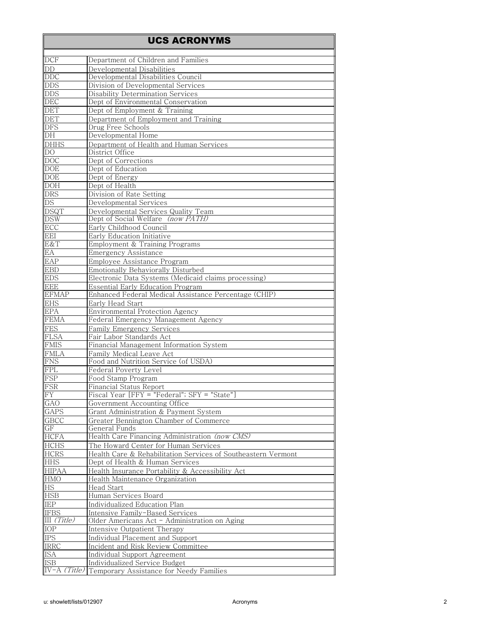## UCS ACRONYMS

| DCF             | Department of Children and Families                           |
|-----------------|---------------------------------------------------------------|
| DD              | Developmental Disabilities                                    |
| DDC             | Developmental Disabilities Council                            |
| <b>DDS</b>      | Division of Developmental Services                            |
| <b>DDS</b>      | <b>Disability Determination Services</b>                      |
| <b>DEC</b>      | Dept of Environmental Conservation                            |
| DET             | Dept of Employment & Training                                 |
|                 |                                                               |
| <b>DET</b>      | Department of Employment and Training                         |
| <b>DFS</b>      | Drug Free Schools                                             |
| $\overline{DH}$ | Developmental Home                                            |
| <b>DHHS</b>     | Department of Health and Human Services                       |
| DO              | District Office                                               |
| <b>DOC</b>      | Dept of Corrections                                           |
| <b>DOE</b>      | Dept of Education                                             |
| <b>DOE</b>      | Dept of Energy                                                |
| <b>DOH</b>      | Dept of Health                                                |
| <b>DRS</b>      | Division of Rate Setting                                      |
|                 |                                                               |
| DS              | <b>Developmental Services</b>                                 |
| <b>DSQT</b>     | Developmental Services Quality Team                           |
| <b>DSW</b>      | Dept of Social Welfare (now PATH)                             |
| <b>ECC</b>      | Early Childhood Council                                       |
| EEI             | Early Education Initiative                                    |
| E&T             | Employment & Training Programs                                |
| EA              | Emergency Assistance                                          |
| <b>EAP</b>      | Employee Assistance Program                                   |
| <b>EBD</b>      |                                                               |
|                 | Emotionally Behaviorally Disturbed                            |
| <b>EDS</b>      | Electronic Data Systems (Medicaid claims processing)          |
| <b>EEE</b>      | <b>Essential Early Education Program</b>                      |
| <b>EFMAP</b>    | Enhanced Federal Medical Assistance Percentage (CHIP)         |
| <b>EHS</b>      | Early Head Start                                              |
| EPA             | Environmental Protection Agency                               |
| <b>FEMA</b>     | Federal Emergency Management Agency                           |
| FES             | Family Emergency Services                                     |
| <b>FLSA</b>     | Fair Labor Standards Act                                      |
| <b>FMIS</b>     | Financial Management Information System                       |
|                 |                                                               |
| <b>FMLA</b>     | Family Medical Leave Act                                      |
| <b>FNS</b>      | Food and Nutrition Service (of USDA)                          |
| FPL             | Federal Poverty Level                                         |
| <b>FSP</b>      | Food Stamp Program                                            |
| FSR             | Financial Status Report                                       |
| <b>FY</b>       | Fiscal Year [FFY = "Federal"; SFY = "State"]                  |
| GAO             | Government Accounting Office                                  |
| <b>GAPS</b>     | Grant Administration & Payment System                         |
| <b>GBCC</b>     | Greater Bennington Chamber of Commerce                        |
| GF              | General Funds                                                 |
| <b>HCFA</b>     | Health Care Financing Administration (now CMS)                |
|                 |                                                               |
| <b>HCHS</b>     | The Howard Center for Human Services                          |
| <b>HCRS</b>     | Health Care & Rehabilitation Services of Southeastern Vermont |
| <b>HHS</b>      | Dept of Health & Human Services                               |
| <b>HIPAA</b>    | Health Insurance Portability & Accessibility Act              |
| <b>HMO</b>      | Health Maintenance Organization                               |
| <b>HS</b>       | Head Start                                                    |
| HSB             | Human Services Board                                          |
| IEP             | Individualized Education Plan                                 |
| <b>IFBS</b>     | Intensive Family-Based Services                               |
| III(Title)      | Older Americans Act - Administration on Aging                 |
| <b>IOP</b>      |                                                               |
|                 | Intensive Outpatient Therapy                                  |
| <b>IPS</b>      | Individual Placement and Support                              |
| <b>IRRC</b>     | Incident and Risk Review Committee                            |
| <b>ISA</b>      | Individual Support Agreement                                  |
| <b>ISB</b>      | Individualized Service Budget                                 |
| (Title)         | Temporary Assistance for Needy Families                       |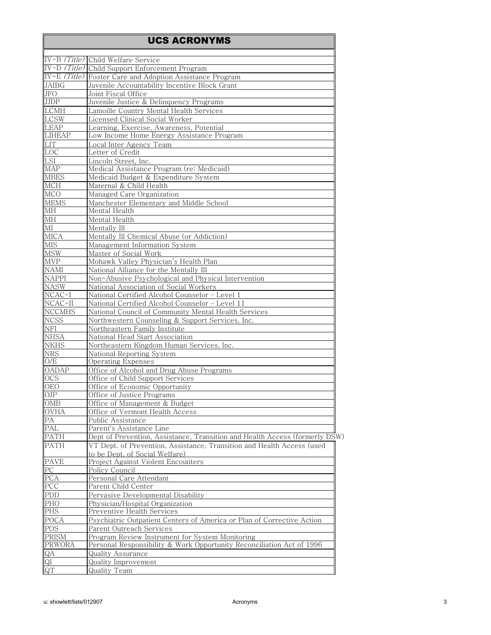|                             | IV-B (Title) Child Welfare Service                                                                      |
|-----------------------------|---------------------------------------------------------------------------------------------------------|
|                             | IV-D (Title) Child Support Enforcement Program                                                          |
|                             | IV-E (Title) Foster Care and Adoption Assistance Program                                                |
| <b>JAIBG</b>                | Juvenile Accountability Incentive Block Grant                                                           |
| <b>JFO</b>                  | Joint Fiscal Office                                                                                     |
| <b>JJDP</b>                 | Juvenile Justice & Delinquency Programs                                                                 |
| <b>LCMH</b>                 | Lamoille Country Mental Health Services                                                                 |
| <b>LCSW</b>                 | Licensed Clinical Social Worker                                                                         |
| LEAP                        | Learning, Exercise, Awareness, Potential                                                                |
| <b>LIHEAP</b>               | Low Income Home Energy Assistance Program                                                               |
| <b>LIT</b>                  | Local Inter Agency Team                                                                                 |
| LOC                         | Letter of Credit                                                                                        |
| LSI                         | Lincoln Street, Inc.                                                                                    |
| <b>MAP</b>                  | Medical Assistance Program (re: Medicaid)                                                               |
| <b>MBES</b>                 | Medicaid Budget & Expenditure System                                                                    |
| $\overline{\text{MCH}}$     | Maternal & Child Health                                                                                 |
| <b>MCO</b>                  | Managed Care Organization                                                                               |
| <b>MEMS</b>                 | Manchester Elementary and Middle School                                                                 |
| <b>MH</b>                   | Mental Health                                                                                           |
| $\overline{\text{MH}}$      | Mental Health                                                                                           |
| M <sub>I</sub>              | Mentally Ill                                                                                            |
| <b>MICA</b>                 | Mentally Ill Chemical Abuse (or Addiction)                                                              |
| <b>MIS</b>                  | Management Information System                                                                           |
| <b>MSW</b>                  | Master of Social Work                                                                                   |
| <b>MVP</b>                  | Mohawk Valley Physician's Health Plan                                                                   |
|                             | National Alliance for the Mentally Ill                                                                  |
| <b>NAMI</b><br><b>NAPPI</b> | Non-Abusive Psychological and Physical Intervention                                                     |
| <b>NASW</b>                 | National Association of Social Workers                                                                  |
| $NCAC-I$                    | National Certified Alcohol Counselor - Level 1                                                          |
|                             |                                                                                                         |
| $NCAC-II$<br>NCCMHS         | National Certified Alcohol Counselor - Level 11<br>National Council of Community Mental Health Services |
| <b>NCSS</b>                 | Northwestern Counseling & Support Services, Inc.                                                        |
| <b>NFI</b>                  | Northeastern Family Institute                                                                           |
| <b>NHSA</b>                 | National Head Start Association                                                                         |
| <b>NKHS</b>                 | Northeastern Kingdom Human Services, Inc.                                                               |
| <b>NRS</b>                  | National Reporting System                                                                               |
| O/E                         | Operating Expenses                                                                                      |
| OADAP                       | Office of Alcohol and Drug Abuse Programs                                                               |
| <b>OCS</b>                  | Office of Child Support Services                                                                        |
| <b>OEO</b>                  | Office of Economic Opportunity                                                                          |
| OJP                         | Office of Justice Programs                                                                              |
| <b>OMB</b>                  | Office of Management & Budget                                                                           |
| <b>OVHA</b>                 |                                                                                                         |
| PA                          | Office of Vermont Health Access<br>Public Assistance                                                    |
| PAL                         | Parent's Assistance Line                                                                                |
| PATH                        | Dept of Prevention, Assistance, Transition and Health Access (formerly DSW)                             |
| PATH                        |                                                                                                         |
|                             | VT Dept. of Prevention, Assistance, Transition and Health Access (used                                  |
| PAVE                        | to be Dept. of Social Welfare)<br>Project Against Violent Encounters                                    |
| PC                          |                                                                                                         |
|                             | Policy Council                                                                                          |
| PCA<br>PCC                  | Personal Care Attendant<br>Parent Child Center                                                          |
|                             |                                                                                                         |
| PDD<br>PHO                  | Pervasive Developmental Disability                                                                      |
|                             | Physician/Hospital Organization                                                                         |
| PHS                         | Preventive Health Services                                                                              |
| POCA                        | Psychiatric Outpatient Centers of America or Plan of Corrective Action                                  |
| POS                         | Parent Outreach Services                                                                                |
| PRISM                       | Program Review Instrument for System Monitoring                                                         |
| <b>PRWORA</b>               | Personal Responsibility & Work Opportunity Reconciliation Act of 1996                                   |
| QA                          | Quality Assurance                                                                                       |
| $\frac{QI}{QT}$             | <b>Quality Improvement</b>                                                                              |
|                             | Quality Team                                                                                            |